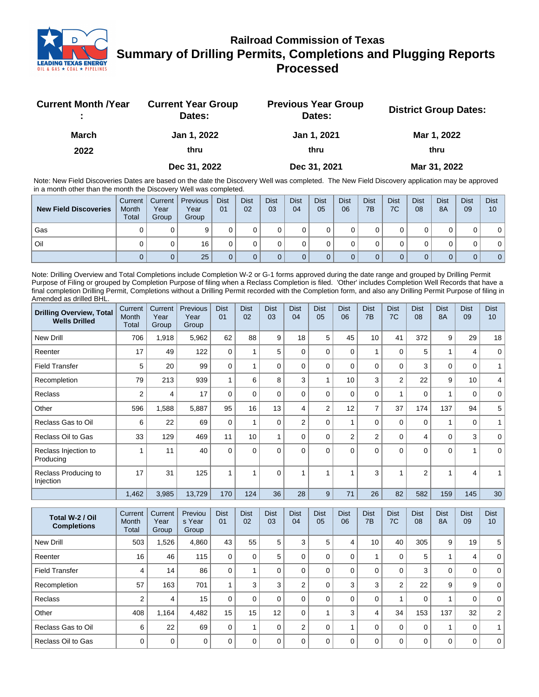

## **Railroad Commission of Texas Summary of Drilling Permits, Completions and Plugging Reports Processed**

| <b>Current Month /Year</b><br>٠. | <b>Current Year Group</b><br>Dates: | <b>Previous Year Group</b><br>Dates: | <b>District Group Dates:</b> |
|----------------------------------|-------------------------------------|--------------------------------------|------------------------------|
| <b>March</b>                     | Jan 1, 2022                         | Jan 1, 2021                          | Mar 1, 2022                  |
| 2022                             | thru                                | thru                                 | thru                         |
|                                  | Dec 31, 2022                        | Dec 31, 2021                         | Mar 31, 2022                 |

Note: New Field Discoveries Dates are based on the date the Discovery Well was completed. The New Field Discovery application may be approved in a month other than the month the Discovery Well was completed.

| <b>New Field Discoveries</b> | Current<br>Month<br>Total | Current  <br>Year<br>Group | <b>Previous</b><br>Year<br>Group | <b>Dist</b><br>01 | <b>Dist</b><br>02 | <b>Dist</b><br>03 | <b>Dist</b><br>04 | <b>Dist</b><br>05 | <b>Dist</b><br>06 | <b>Dist</b><br>7B | <b>Dist</b><br>7C | <b>Dist</b><br>08 | <b>Dist</b><br>8A | <b>Dist</b><br>09 | <b>Dist</b><br>10 |
|------------------------------|---------------------------|----------------------------|----------------------------------|-------------------|-------------------|-------------------|-------------------|-------------------|-------------------|-------------------|-------------------|-------------------|-------------------|-------------------|-------------------|
| Gas                          |                           |                            |                                  |                   |                   |                   |                   |                   |                   |                   |                   |                   |                   |                   | 0                 |
| Oil                          |                           |                            | 16                               |                   |                   |                   |                   |                   |                   |                   |                   |                   |                   |                   | 01                |
|                              |                           |                            | 25                               |                   |                   |                   |                   |                   |                   |                   |                   |                   |                   |                   | 0 <sup>1</sup>    |

Note: Drilling Overview and Total Completions include Completion W-2 or G-1 forms approved during the date range and grouped by Drilling Permit Purpose of Filing or grouped by Completion Purpose of filing when a Reclass Completion is filed. 'Other' includes Completion Well Records that have a final completion Drilling Permit, Completions without a Drilling Permit recorded with the Completion form, and also any Drilling Permit Purpose of filing in Amended as drilled BHL.

| <b>Drilling Overview, Total</b><br><b>Wells Drilled</b> | Current<br>Month<br><b>Total</b> | Current<br>Year<br>Group | Previous<br>Year<br>Group | <b>Dist</b><br>01 | <b>Dist</b><br>02 | <b>Dist</b><br>03 | <b>Dist</b><br>04 | <b>Dist</b><br>05 | <b>Dist</b><br>06 | <b>Dist</b><br>7B | <b>Dist</b><br>7C | <b>Dist</b><br>08 | <b>Dist</b><br><b>8A</b> | <b>Dist</b><br>09 | <b>Dist</b><br>10 |
|---------------------------------------------------------|----------------------------------|--------------------------|---------------------------|-------------------|-------------------|-------------------|-------------------|-------------------|-------------------|-------------------|-------------------|-------------------|--------------------------|-------------------|-------------------|
| <b>New Drill</b>                                        | 706                              | 1,918                    | 5,962                     | 62                | 88                | 9                 | 18                | 5                 | 45                | 10                | 41                | 372               | 9                        | 29                | 18                |
| Reenter                                                 | 17                               | 49                       | 122                       | $\Omega$          |                   | 5                 | $\Omega$          | $\Omega$          | $\Omega$          | 1                 | $\mathbf 0$       | 5                 | 1                        | 4                 | $\mathbf 0$       |
| <b>Field Transfer</b>                                   | 5                                | 20                       | 99                        | $\mathbf 0$       |                   | 0                 | $\Omega$          | $\Omega$          | 0                 | 0                 | $\mathbf 0$       | 3                 | $\mathbf 0$              | $\mathbf 0$       |                   |
| Recompletion                                            | 79                               | 213                      | 939                       |                   | 6                 | 8                 | 3                 |                   | 10                | 3                 | $\overline{2}$    | 22                | 9                        | 10                | 4                 |
| Reclass                                                 | 2                                | 4                        | 17                        | $\Omega$          | $\Omega$          | 0                 | $\Omega$          | $\Omega$          | 0                 | 0                 | 1                 | 0                 | 1                        | 0                 | 0                 |
| Other                                                   | 596                              | 1,588                    | 5,887                     | 95                | 16                | 13                | 4                 | $\overline{2}$    | 12                | $\overline{7}$    | 37                | 174               | 137                      | 94                | 5                 |
| Reclass Gas to Oil                                      | 6                                | 22                       | 69                        | $\Omega$          |                   | 0                 | $\overline{2}$    | $\Omega$          |                   | 0                 | $\mathbf 0$       | $\mathbf 0$       | 1                        | $\mathbf 0$       |                   |
| Reclass Oil to Gas                                      | 33                               | 129                      | 469                       | 11                | 10                |                   | $\Omega$          | $\Omega$          | $\overline{2}$    | $\overline{2}$    | $\mathbf 0$       | 4                 | 0                        | 3                 | 0                 |
| Reclass Injection to<br>Producing                       | 1                                | 11                       | 40                        | $\Omega$          | $\Omega$          | $\Omega$          | $\Omega$          | $\Omega$          | $\Omega$          | $\Omega$          | $\Omega$          | $\Omega$          | $\Omega$                 |                   | $\Omega$          |
| Reclass Producing to<br>Injection                       | 17                               | 31                       | 125                       |                   | 4                 | $\Omega$          |                   |                   |                   | 3                 | 4                 | $\overline{2}$    | 4                        | 4                 |                   |
|                                                         | 1,462                            | 3,985                    | 13,729                    | 170               | 124               | 36                | 28                | 9                 | 71                | 26                | 82                | 582               | 159                      | 145               | 30                |

| Total W-2 / Oil<br><b>Completions</b> | Current<br>Month<br>Total | Current<br>Year<br>Group | Previou<br>s Year<br>Group | <b>Dist</b><br>01 | <b>Dist</b><br>02 | <b>Dist</b><br>03 | <b>Dist</b><br>04 | <b>Dist</b><br>05 | <b>Dist</b><br>06 | <b>Dist</b><br>7B | <b>Dist</b><br>7C | <b>Dist</b><br>08 | <b>Dist</b><br><b>8A</b> | <b>Dist</b><br>09 | <b>Dist</b><br>10 |
|---------------------------------------|---------------------------|--------------------------|----------------------------|-------------------|-------------------|-------------------|-------------------|-------------------|-------------------|-------------------|-------------------|-------------------|--------------------------|-------------------|-------------------|
| New Drill                             | 503                       | 1,526                    | 4,860                      | 43                | 55                | 5                 | 3                 | 5                 | 4                 | 10 <sup>°</sup>   | 40                | 305               | 9                        | 19                | 5                 |
| Reenter                               | 16                        | 46                       | 115                        | $\Omega$          | $\Omega$          | 5                 |                   | $\Omega$          | $\Omega$          |                   | 0                 | 5                 |                          | 4                 | $\Omega$          |
| <b>Field Transfer</b>                 | 4                         | 14                       | 86                         | $\mathbf{0}$      |                   |                   |                   | $\Omega$          | $\Omega$          | 0                 | $\mathbf 0$       | 3                 | 0                        | 0                 | $\Omega$          |
| Recompletion                          | 57                        | 163                      | 701                        |                   | 3                 | 3                 | 2                 | $\Omega$          | 3                 | 3                 | $\overline{2}$    | 22                | 9                        | 9                 | $\Omega$          |
| <b>Reclass</b>                        | $\mathcal{P}$             | 4                        | 15                         | $\Omega$          | $\Omega$          | 0                 |                   | $\Omega$          | $\Omega$          | 0                 |                   | 0                 |                          | $\Omega$          | $\Omega$          |
| Other                                 | 408                       | 1,164                    | 4.482                      | 15                | 15                | 12                | $\Omega$          |                   | 3                 | 4                 | 34                | 153               | 137                      | 32                | 2                 |
| Reclass Gas to Oil                    | 6                         | 22                       | 69                         | $\Omega$          |                   |                   | 2                 | $\Omega$          |                   | $\Omega$          | 0                 | $\mathbf 0$       |                          | 0                 |                   |
| Reclass Oil to Gas                    | $\Omega$                  | $\mathbf 0$              | 0                          | $\Omega$          | $\Omega$          | O                 |                   | $\Omega$          | $\Omega$          | $\Omega$          | $\Omega$          | $\mathbf 0$       | 0                        | 0                 | $\mathbf 0$       |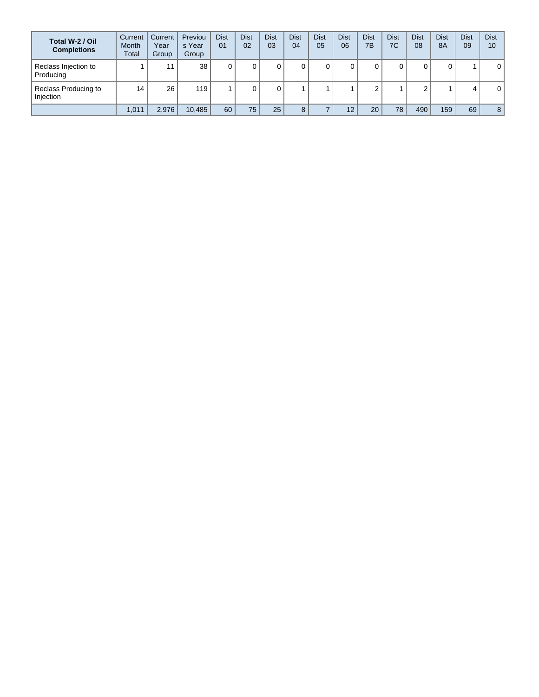| Total W-2 / Oil<br><b>Completions</b> | Current<br><b>Month</b><br>Total | Current<br>Year<br>Group | Previou<br>s Year<br>Group | <b>Dist</b><br>01 | <b>Dist</b><br>02 | <b>Dist</b><br>03 | <b>Dist</b><br>04 | <b>Dist</b><br>05 | <b>Dist</b><br>06 | <b>Dist</b><br>7B | <b>Dist</b><br>7C | <b>Dist</b><br>08 | <b>Dist</b><br><b>8A</b> | <b>Dist</b><br>09 | <b>Dist</b><br>10 |
|---------------------------------------|----------------------------------|--------------------------|----------------------------|-------------------|-------------------|-------------------|-------------------|-------------------|-------------------|-------------------|-------------------|-------------------|--------------------------|-------------------|-------------------|
| Reclass Injection to<br>Producing     |                                  | 11                       | 38                         |                   |                   |                   |                   |                   |                   |                   |                   | 0                 | 0                        |                   | $\mathbf 0$       |
| Reclass Producing to<br>Injection     | 14                               | 26                       | 119                        |                   |                   |                   |                   |                   |                   |                   |                   | $\sim$<br>ے       |                          | 4                 | $\mathbf 0$       |
|                                       | 1,011                            | 2.976                    | 10,485                     | 60                | 75                | 25                | 8                 |                   | 12                | 20                | 78                | 490               | 159                      | 69                | 8                 |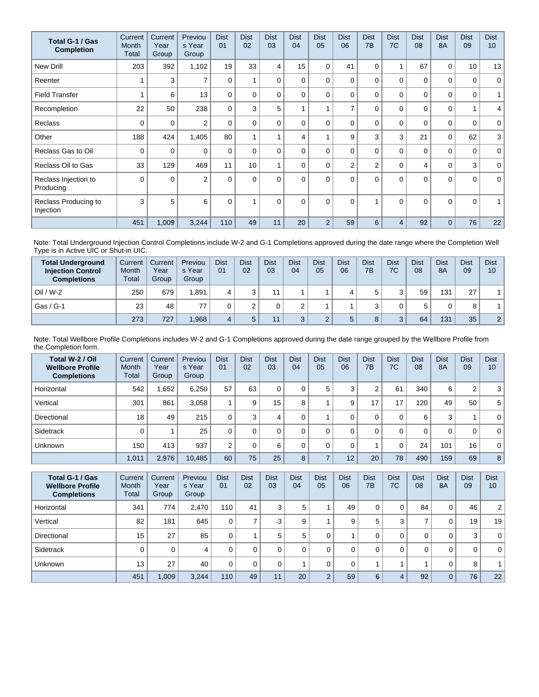| Total G-1 / Gas<br><b>Completion</b> | Current<br>Month<br>Total | Current<br>Year<br>Group | Previou<br>s Year<br>Group | <b>Dist</b><br>01 | <b>Dist</b><br>02 | <b>Dist</b><br>03 | <b>Dist</b><br>04 | <b>Dist</b><br>05 | <b>Dist</b><br>06 | <b>Dist</b><br>7B | <b>Dist</b><br>7C | <b>Dist</b><br>08 | <b>Dist</b><br><b>8A</b> | <b>Dist</b><br>09 | <b>Dist</b><br>10 <sup>1</sup> |
|--------------------------------------|---------------------------|--------------------------|----------------------------|-------------------|-------------------|-------------------|-------------------|-------------------|-------------------|-------------------|-------------------|-------------------|--------------------------|-------------------|--------------------------------|
| <b>New Drill</b>                     | 203                       | 392                      | 1,102                      | 19                | 33                | 4                 | 15                | $\Omega$          | 41                | $\Omega$          | 1                 | 67                | 0                        | 10                | 13                             |
| Reenter                              |                           | 3                        | $\overline{ }$             | $\Omega$          |                   | $\Omega$          | 0                 | 0                 | $\Omega$          | $\Omega$          | $\Omega$          | $\mathbf{0}$      | $\Omega$                 | $\mathbf 0$       | $\mathbf 0$                    |
| <b>Field Transfer</b>                |                           | 6                        | 13                         | $\Omega$          | 0                 | $\Omega$          | 0                 | $\Omega$          | $\Omega$          | $\Omega$          | $\mathbf 0$       | 0                 | $\Omega$                 | 0                 | 1                              |
| Recompletion                         | 22                        | 50                       | 238                        | $\Omega$          | 3                 | 5                 |                   |                   | 7                 | $\Omega$          | $\Omega$          | $\Omega$          | $\Omega$                 | $\overline{1}$    | 4 <sup>1</sup>                 |
| <b>Reclass</b>                       | $\Omega$                  | 0                        | $\overline{2}$             | $\mathbf{0}$      | 0                 | $\Omega$          | 0                 | 0                 | $\Omega$          | $\Omega$          | $\Omega$          | $\mathbf{0}$      | $\Omega$                 | 0                 | $\mathbf 0$                    |
| Other                                | 188                       | 424                      | 1,405                      | 80                | $\overline{A}$    |                   | 4                 |                   | 9                 | 3                 | 3                 | 21                | $\mathbf 0$              | 62                | 3                              |
| Reclass Gas to Oil                   | 0                         | 0                        | $\Omega$                   | $\Omega$          | $\Omega$          | $\Omega$          | 0                 | $\Omega$          | $\Omega$          | $\Omega$          | $\Omega$          | 0                 | $\Omega$                 | 0                 | $\mathbf{0}$                   |
| Reclass Oil to Gas                   | 33                        | 129                      | 469                        | 11                | 10                |                   | 0                 | $\Omega$          | $\overline{2}$    | $\overline{2}$    | 0                 | 4                 | $\mathbf 0$              | 3                 | $\mathbf 0$                    |
| Reclass Injection to<br>Producing    | $\Omega$                  | $\Omega$                 | $\overline{2}$             | $\Omega$          | $\Omega$          | $\Omega$          | $\Omega$          | $\Omega$          | $\Omega$          | $\Omega$          | $\Omega$          | $\mathbf{0}$      | $\Omega$                 | $\Omega$          | $\mathbf{0}$                   |
| Reclass Producing to<br>Injection    | 3                         | 5                        | 6                          | $\mathbf{0}$      |                   | $\Omega$          | $\Omega$          | $\Omega$          | $\Omega$          |                   | $\Omega$          | $\Omega$          | $\Omega$                 | $\Omega$          | $\mathbf{1}$                   |
|                                      | 451                       | 1,009                    | 3,244                      | 110               | 49                | 11                | 20                | $\overline{2}$    | 59                | 6                 | 4                 | 92                | $\Omega$                 | 76                | 22                             |

Note: Total Underground Injection Control Completions include W-2 and G-1 Completions approved during the date range where the Completion Well Type is in Active UIC or Shut-in UIC.

| <b>Total Underground</b><br><b>Injection Control</b><br><b>Completions</b> | Current<br>Month<br>Total | Current<br>Year<br>Group | Previou<br>s Year<br>Group | <b>Dist</b><br>0 <sub>1</sub> | <b>Dist</b><br>02 | <b>Dist</b><br>03 | <b>Dist</b><br>04 | <b>Dist</b><br>05 | Dist<br>06 | <b>Dist</b><br>7B | <b>Dist</b><br>7C | <b>Dist</b><br>08 | <b>Dist</b><br><b>8A</b> | <b>Dist</b><br>09 | <b>Dist</b><br>10 |
|----------------------------------------------------------------------------|---------------------------|--------------------------|----------------------------|-------------------------------|-------------------|-------------------|-------------------|-------------------|------------|-------------------|-------------------|-------------------|--------------------------|-------------------|-------------------|
| $Oil / W-2$                                                                | 250                       | 679                      | 1.891                      |                               |                   |                   |                   |                   |            |                   | 3                 | 59                | 131                      | 27                |                   |
| Gas / G-1                                                                  | 23                        | 48                       |                            |                               |                   |                   |                   |                   |            |                   |                   | 5                 | 0                        | 8                 |                   |
|                                                                            | 273                       | 727                      | .968                       |                               |                   | 11                |                   |                   | 5          |                   | $\mathbf{a}$<br>J | 64                | 131                      | 35                | $\overline{2}$    |

Note: Total Wellbore Profile Completions includes W-2 and G-1 Completions approved during the date range grouped by the Wellbore Profile from the Completion form.

| Total W-2 / Oil<br><b>Wellbore Profile</b><br><b>Completions</b> | Current<br>Month<br>Total | Current<br>Year<br>Group | Previou<br>s Year<br>Group | <b>Dist</b><br>01 | <b>Dist</b><br>02 | <b>Dist</b><br>03 | <b>Dist</b><br>04 | <b>Dist</b><br>05 | <b>Dist</b><br>06 | <b>Dist</b><br>7B | <b>Dist</b><br>7C | <b>Dist</b><br>08 | <b>Dist</b><br><b>8A</b> | <b>Dist</b><br>09 | <b>Dist</b><br>10 |
|------------------------------------------------------------------|---------------------------|--------------------------|----------------------------|-------------------|-------------------|-------------------|-------------------|-------------------|-------------------|-------------------|-------------------|-------------------|--------------------------|-------------------|-------------------|
| Horizontal                                                       | 542                       | .652                     | 6.250                      | 57                | 63                | 0                 | 0                 | 5                 | 3                 | ⌒                 | 61                | 340               | 6                        | 2                 | 3                 |
| Vertical                                                         | 301                       | 861                      | 3.058                      |                   | 9                 | 15                | 8                 |                   | 9                 | 17                | 17                | 120               | 49                       | 50                | 5                 |
| Directional                                                      | 18                        | 49                       | 215                        | 0                 | 3                 |                   | 0                 |                   |                   | 0                 | 0                 | 6                 | 3                        |                   | $\mathbf{0}$      |
| Sidetrack                                                        | 0                         |                          | 25                         |                   | 0                 | 0                 | 0                 |                   |                   | 0                 | 0                 | 0                 | $\Omega$                 | 0                 | $\mathbf{0}$      |
| Unknown                                                          | 150                       | 413                      | 937                        | ◠                 |                   | 6                 | 0                 |                   |                   |                   | 0                 | 24                | 101                      | 16                | $\mathbf{0}$      |
|                                                                  | 1,011                     | 2,976                    | 10,485                     | 60                | 75                | 25                | 8                 |                   | 12                | 20                | 78                | 490               | 159                      | 69                | 8                 |

| Total G-1 / Gas<br><b>Wellbore Profile</b><br><b>Completions</b> | Current<br>Month<br>Total | Current<br>Year<br>Group | Previou<br>s Year<br>Group | <b>Dist</b><br>01 | <b>Dist</b><br>02 | <b>Dist</b><br>03 | <b>Dist</b><br>04 | <b>Dist</b><br>05 | <b>Dist</b><br>06 | <b>Dist</b><br>7B | <b>Dist</b><br>7C | <b>Dist</b><br>08 | <b>Dist</b><br><b>8A</b> | <b>Dist</b><br>09 | <b>Dist</b><br>10 |
|------------------------------------------------------------------|---------------------------|--------------------------|----------------------------|-------------------|-------------------|-------------------|-------------------|-------------------|-------------------|-------------------|-------------------|-------------------|--------------------------|-------------------|-------------------|
| Horizontal                                                       | 341                       | 774                      | 2,470                      | 110               | 41                | 3                 | 5                 |                   | 49                | 0                 | 0                 | 84                | 0                        | 46                | 2 <sup>1</sup>    |
| Vertical                                                         | 82                        | 181                      | 645                        | 0                 |                   | 3                 | 9                 |                   | 9                 | 5                 | 3                 | $\overline{ }$    | 0                        | 19                | 19                |
| Directional                                                      | 15                        | 27                       | 85                         | $\Omega$          |                   | 5                 | 5                 |                   |                   | 0                 | 0                 | 0                 | 0                        | 3                 | 0 <sup>1</sup>    |
| Sidetrack                                                        |                           | 0                        | 4                          | 0                 |                   | $\Omega$          |                   |                   |                   | 0                 | 0                 | $\Omega$          | 0                        | 0                 | 0 <sup>1</sup>    |
| <b>Unknown</b>                                                   | 13                        | 27                       | 40                         | 0                 |                   | 0                 |                   |                   |                   |                   |                   |                   | 0                        | 8                 |                   |
|                                                                  | 451                       | 1,009                    | 3,244                      | 110               | 49                | 11                | 20                | $\Omega$          | 59                | 6                 | 4                 | 92                | $\overline{0}$           | 76                | 22                |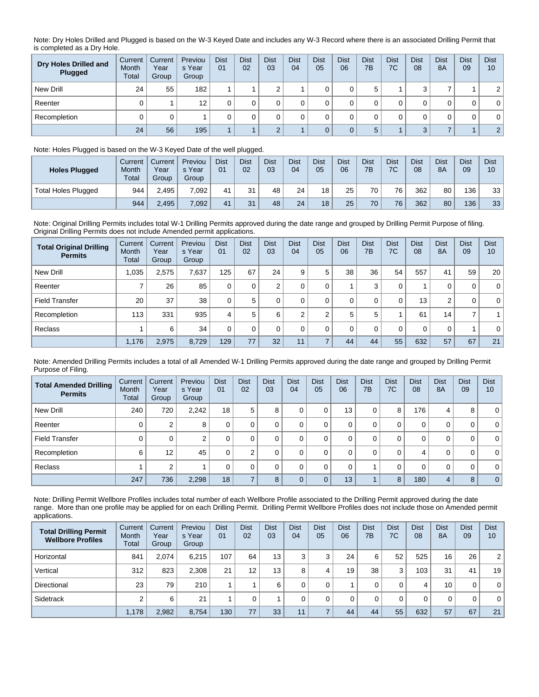Note: Dry Holes Drilled and Plugged is based on the W-3 Keyed Date and includes any W-3 Record where there is an associated Drilling Permit that is completed as a Dry Hole.

| Dry Holes Drilled and<br>Plugged | Current<br>Month<br>Total | Current<br>Year<br>Group | Previou<br>s Year<br>Group | <b>Dist</b><br>01 | <b>Dist</b><br>02 | <b>Dist</b><br>03 | <b>Dist</b><br>04 | <b>Dist</b><br>05 | <b>Dist</b><br>06 | <b>Dist</b><br>7B | <b>Dist</b><br>7C | <b>Dist</b><br>08 | <b>Dist</b><br>8A | <b>Dist</b><br>09 | <b>Dist</b><br>10 |
|----------------------------------|---------------------------|--------------------------|----------------------------|-------------------|-------------------|-------------------|-------------------|-------------------|-------------------|-------------------|-------------------|-------------------|-------------------|-------------------|-------------------|
| New Drill                        | 24                        | 55                       | 182                        |                   |                   |                   |                   |                   |                   | b                 |                   | ົ                 |                   |                   | 2                 |
| Reenter                          |                           |                          | 12                         |                   |                   |                   |                   |                   |                   |                   |                   |                   |                   | 0                 | $\mathbf 0$       |
| Recompletion                     |                           |                          |                            |                   |                   |                   |                   |                   |                   |                   |                   |                   |                   |                   | 0                 |
|                                  | 24                        | 56                       | 195                        |                   |                   |                   |                   |                   |                   | 5                 |                   | $\Omega$          |                   |                   | 2                 |

## Note: Holes Plugged is based on the W-3 Keyed Date of the well plugged.

| <b>Holes Plugged</b>       | Current<br>Month<br>Total | Current<br>Year<br>Group | Previou<br>s Year<br>Group | <b>Dist</b><br>01 | <b>Dist</b><br>02 | <b>Dist</b><br>03 | <b>Dist</b><br>04 | <b>Dist</b><br>05 | <b>Dist</b><br>06 | <b>Dist</b><br>7B | <b>Dist</b><br>7C | <b>Dist</b><br>08 | <b>Dist</b><br><b>8A</b> | <b>Dist</b><br>09 | <b>Dist</b><br>10 |
|----------------------------|---------------------------|--------------------------|----------------------------|-------------------|-------------------|-------------------|-------------------|-------------------|-------------------|-------------------|-------------------|-------------------|--------------------------|-------------------|-------------------|
| <b>Total Holes Plugged</b> | 944                       | 2.495                    | 7.092.                     | 41                | 31                | 48                | 24                | 18                | 25                | 70 <sub>1</sub>   | 76                | 362               | 80                       | 136               | 33                |
|                            | 944                       | 2,495                    | 7,092                      | 41                | 31                | 48                | 24                | 18                | 25                | 70                | 76                | 362               | 80                       | 136               | 33                |

Note: Original Drilling Permits includes total W-1 Drilling Permits approved during the date range and grouped by Drilling Permit Purpose of filing. Original Drilling Permits does not include Amended permit applications.

| <b>Total Original Drilling</b><br><b>Permits</b> | Current<br>Month<br>Total | Current<br>Year<br>Group | Previou<br>s Year<br>Group | <b>Dist</b><br>01 | <b>Dist</b><br>02 | <b>Dist</b><br>03 | <b>Dist</b><br>04 | <b>Dist</b><br>05 | <b>Dist</b><br>06 | <b>Dist</b><br>7B | <b>Dist</b><br>7C | <b>Dist</b><br>08 | <b>Dist</b><br><b>8A</b> | <b>Dist</b><br>09 | <b>Dist</b><br>10 |
|--------------------------------------------------|---------------------------|--------------------------|----------------------------|-------------------|-------------------|-------------------|-------------------|-------------------|-------------------|-------------------|-------------------|-------------------|--------------------------|-------------------|-------------------|
| New Drill                                        | 1,035                     | 2,575                    | 7.637                      | 125               | 67                | 24                | 9                 | 5                 | 38                | 36                | 54                | 557               | 41                       | 59                | 20 <sup>1</sup>   |
| Reenter                                          |                           | 26                       | 85                         |                   | 0                 | $\Omega$          |                   |                   |                   | 3                 | 0                 |                   | 0                        | 0                 | $\overline{0}$    |
| <b>Field Transfer</b>                            | 20                        | 37                       | 38                         |                   | 5                 | 0                 |                   |                   | $\Omega$          | 0                 | 0                 | 13                | 2                        | 0                 | $\overline{0}$    |
| Recompletion                                     | 113                       | 331                      | 935                        | 4                 | 5                 | 6                 | $\sim$            | $\sim$            | 5                 | 5                 |                   | 61                | 14 <sub>1</sub>          | 7                 |                   |
| Reclass                                          |                           | 6                        | 34                         |                   | 0                 |                   | $\Omega$          |                   | $\Omega$          | 0                 | 0                 | 0                 | 0                        |                   | $\overline{0}$    |
|                                                  | 1,176                     | 2,975                    | 8,729                      | 129               | 77                | 32                | 11                |                   | 44                | 44                | 55                | 632               | 57                       | 67                | 21                |

Note: Amended Drilling Permits includes a total of all Amended W-1 Drilling Permits approved during the date range and grouped by Drilling Permit Purpose of Filing.

| <b>Total Amended Drilling</b><br><b>Permits</b> | Current<br><b>Month</b><br>Total | Current<br>Year<br>Group | Previou<br>s Year<br>Group | <b>Dist</b><br>01 | <b>Dist</b><br>02 | <b>Dist</b><br>03 | <b>Dist</b><br>04 | <b>Dist</b><br>05 | <b>Dist</b><br>06 | <b>Dist</b><br>7B | <b>Dist</b><br>7C | <b>Dist</b><br>08 | <b>Dist</b><br><b>8A</b> | <b>Dist</b><br>09 | <b>Dist</b><br>10 |
|-------------------------------------------------|----------------------------------|--------------------------|----------------------------|-------------------|-------------------|-------------------|-------------------|-------------------|-------------------|-------------------|-------------------|-------------------|--------------------------|-------------------|-------------------|
| New Drill                                       | 240                              | 720                      | 2,242                      | 18                | 5                 | 8                 |                   | 0                 | 13                | 0                 | 8                 | 176               | 4                        | 8                 | 0 <sup>1</sup>    |
| Reenter                                         |                                  | 2                        | 8                          | 0                 |                   |                   |                   | 0                 | 0                 | 0                 | 0                 | 0                 | 0                        | 0                 | 0 <sup>1</sup>    |
| <b>Field Transfer</b>                           |                                  | 0                        | 2                          | 0                 |                   |                   |                   | 0                 | 0                 | 0                 | 0                 | 0                 | 0                        | 0                 | 0 <sup>1</sup>    |
| Recompletion                                    | 6                                | 12 <sup>°</sup>          | 45                         | 0                 | ◠                 | 0                 |                   | 0                 | 0                 | 0                 | 0                 | 4                 | 0                        | 0                 | 0 <sup>1</sup>    |
| Reclass                                         |                                  | 2                        |                            | 0                 |                   | $\Omega$          |                   | $\Omega$          | 0                 |                   | 0                 | $\mathbf 0$       | 0                        | 0                 | 0 <sup>1</sup>    |
|                                                 | 247                              | 736                      | 2,298                      | 18                |                   | 8                 |                   | $\Omega$          | 13                |                   | 8                 | 180               | 4                        | 8                 | 0 <sup>1</sup>    |

Note: Drilling Permit Wellbore Profiles includes total number of each Wellbore Profile associated to the Drilling Permit approved during the date range. More than one profile may be applied for on each Drilling Permit. Drilling Permit Wellbore Profiles does not include those on Amended permit applications.

| <b>Total Drilling Permit</b><br><b>Wellbore Profiles</b> | Current<br>Month<br>Total | Current<br>Year<br>Group | Previou<br>s Year<br>Group | <b>Dist</b><br>01 | <b>Dist</b><br>02 | <b>Dist</b><br>03 | <b>Dist</b><br>04 | <b>Dist</b><br>05 | <b>Dist</b><br>06 | <b>Dist</b><br>7B | <b>Dist</b><br>7C | <b>Dist</b><br>08 | <b>Dist</b><br>8A | <b>Dist</b><br>09 | <b>Dist</b><br>10 |
|----------------------------------------------------------|---------------------------|--------------------------|----------------------------|-------------------|-------------------|-------------------|-------------------|-------------------|-------------------|-------------------|-------------------|-------------------|-------------------|-------------------|-------------------|
| Horizontal                                               | 841                       | 2.074                    | 6.215                      | 107               | 64                | 13 <sub>1</sub>   | 3                 | $\Omega$          | 24                | 6                 | 52                | 525               | 16                | 26                | 2                 |
| Vertical                                                 | 312                       | 823                      | 2,308                      | 21                | 12                | 13                | 8                 |                   | 19                | 38                | 3                 | 103               | 31                | 41                | 19                |
| Directional                                              | 23                        | 79,                      | 210                        |                   |                   | 6                 | 0                 |                   |                   |                   | 0                 | 4                 | 10                | 0                 | $\mathbf{0}$      |
| Sidetrack                                                | ⌒                         | 6                        | 21                         |                   |                   |                   |                   |                   |                   |                   | 0                 | $\Omega$          | 0                 | 0                 | $\mathbf{0}$      |
|                                                          | 1,178                     | 2,982                    | 8,754                      | 130               | 77                | 33                | 11                |                   | 44                | 44                | 55                | 632               | 57                | 67                | 21                |